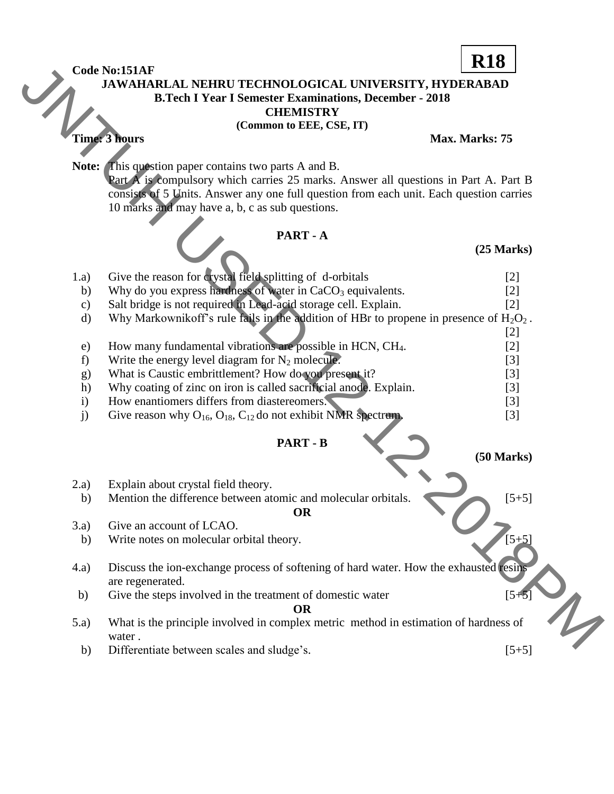## Code No:151AF<br>JAWAHAF  **JAWAHARLAL NEHRU TECHNOLOGICAL UNIVERSITY, HYDERABAD B.Tech I Year I Semester Examinations, December - 2018 CHEMISTRY R18**

## **PART - A**

|                                                                                               | Code No:151AF                                                                             | <b>VTO</b>           |  |
|-----------------------------------------------------------------------------------------------|-------------------------------------------------------------------------------------------|----------------------|--|
| JAWAHARLAL NEHRU TECHNOLOGICAL UNIVERSITY, HYDERABAD                                          |                                                                                           |                      |  |
| <b>B.Tech I Year I Semester Examinations, December - 2018</b>                                 |                                                                                           |                      |  |
| <b>CHEMISTRY</b>                                                                              |                                                                                           |                      |  |
| (Common to EEE, CSE, IT)                                                                      |                                                                                           |                      |  |
|                                                                                               | Time: 3 hours                                                                             | Max. Marks: 75       |  |
|                                                                                               |                                                                                           |                      |  |
|                                                                                               | <b>Note:</b> This question paper contains two parts A and B.                              |                      |  |
| Part A is compulsory which carries 25 marks. Answer all questions in Part A. Part B           |                                                                                           |                      |  |
|                                                                                               | consists of 5 Units. Answer any one full question from each unit. Each question carries   |                      |  |
|                                                                                               | 10 marks and may have a, b, c as sub questions.                                           |                      |  |
| PART - A                                                                                      |                                                                                           |                      |  |
|                                                                                               |                                                                                           | $(25$ Marks $)$      |  |
|                                                                                               |                                                                                           |                      |  |
| 1.a)                                                                                          | Give the reason for crystal field splitting of d-orbitals                                 | $[2]$                |  |
| b)                                                                                            | Why do you express hardness of water in CaCO <sub>3</sub> equivalents.                    | $[2]$                |  |
| $\mathbf{c})$                                                                                 | Salt bridge is not required in Lead-acid storage cell. Explain.                           | $[2]$                |  |
| $\mathbf{d}$                                                                                  | Why Markownikoff's rule fails in the addition of HBr to propene in presence of $H_2O_2$ . |                      |  |
|                                                                                               |                                                                                           | $[2]$                |  |
| e)                                                                                            | How many fundamental vibrations are possible in HCN, CH <sub>4</sub> .                    | $[2]$                |  |
| f)                                                                                            | Write the energy level diagram for $N_2$ molecule.                                        | $[3]$                |  |
| g)                                                                                            | What is Caustic embrittlement? How do you present it?                                     | $[3]$                |  |
| h)                                                                                            | Why coating of zinc on iron is called sacrificial anode. Explain.                         | $[3]$                |  |
| $\mathbf{i}$                                                                                  | How enantiomers differs from diastereomers.                                               | $[3]$                |  |
| j)                                                                                            | Give reason why $O_{16}$ , $O_{18}$ , $C_{12}$ do not exhibit NMR spectrum.               | $[3]$                |  |
|                                                                                               |                                                                                           |                      |  |
|                                                                                               | <b>PART - B</b>                                                                           |                      |  |
|                                                                                               |                                                                                           | $(50 \text{ Marks})$ |  |
| 2.a)                                                                                          | Explain about crystal field theory.                                                       |                      |  |
| b)                                                                                            | Mention the difference between atomic and molecular orbitals.                             | $[5+5]$              |  |
|                                                                                               | <b>OR</b>                                                                                 |                      |  |
| 3.a)                                                                                          | Give an account of LCAO.                                                                  |                      |  |
| b)                                                                                            | Write notes on molecular orbital theory.                                                  | $[5+5]$              |  |
|                                                                                               |                                                                                           |                      |  |
| (4.a)                                                                                         | Discuss the ion-exchange process of softening of hard water. How the exhausted resing     |                      |  |
|                                                                                               | are regenerated.                                                                          |                      |  |
| b)                                                                                            | Give the steps involved in the treatment of domestic water                                | $[5 + 5]$            |  |
|                                                                                               | <b>OR</b>                                                                                 |                      |  |
| What is the principle involved in complex metric method in estimation of hardness of<br>(5.a) |                                                                                           |                      |  |
|                                                                                               | water.                                                                                    |                      |  |
| b)                                                                                            | Differentiate between scales and sludge's.                                                | $[5+5]$              |  |